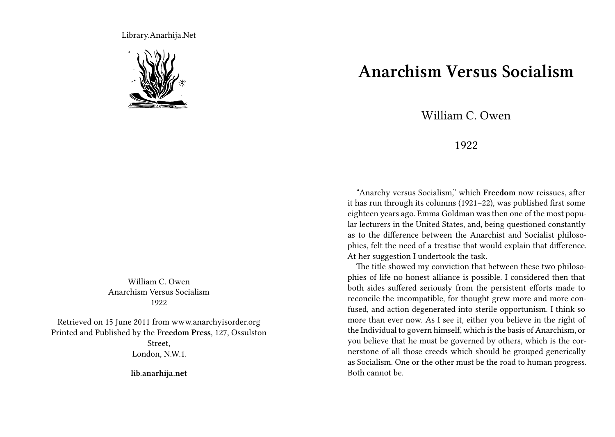Library.Anarhija.Net



William C. Owen Anarchism Versus Socialism 1922

Retrieved on 15 June 2011 from www.anarchyisorder.org Printed and Published by the **Freedom Press**, 127, Ossulston Street, London, N.W.1.

**lib.anarhija.net**

## **Anarchism Versus Socialism**

William C. Owen

## 1922

"Anarchy versus Socialism," which **Freedom** now reissues, after it has run through its columns (1921–22), was published first some eighteen years ago. Emma Goldman was then one of the most popular lecturers in the United States, and, being questioned constantly as to the difference between the Anarchist and Socialist philosophies, felt the need of a treatise that would explain that difference. At her suggestion I undertook the task.

The title showed my conviction that between these two philosophies of life no honest alliance is possible. I considered then that both sides suffered seriously from the persistent efforts made to reconcile the incompatible, for thought grew more and more confused, and action degenerated into sterile opportunism. I think so more than ever now. As I see it, either you believe in the right of the Individual to govern himself, which is the basis of Anarchism, or you believe that he must be governed by others, which is the cornerstone of all those creeds which should be grouped generically as Socialism. One or the other must be the road to human progress. Both cannot be.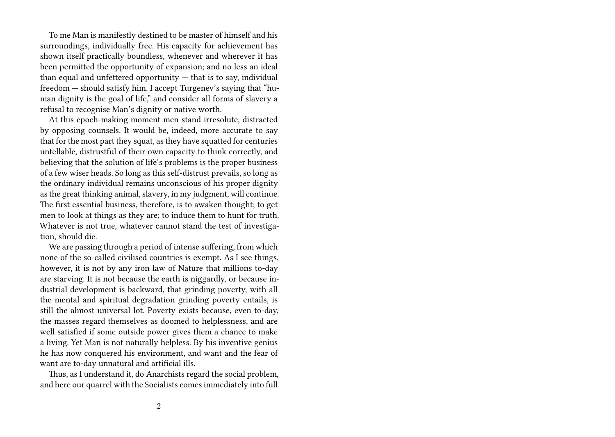To me Man is manifestly destined to be master of himself and his surroundings, individually free. His capacity for achievement has shown itself practically boundless, whenever and wherever it has been permitted the opportunity of expansion; and no less an ideal than equal and unfettered opportunity  $-$  that is to say, individual freedom — should satisfy him. I accept Turgenev's saying that "human dignity is the goal of life," and consider all forms of slavery a refusal to recognise Man's dignity or native worth.

At this epoch-making moment men stand irresolute, distracted by opposing counsels. It would be, indeed, more accurate to say that for the most part they squat, as they have squatted for centuries untellable, distrustful of their own capacity to think correctly, and believing that the solution of life's problems is the proper business of a few wiser heads. So long as this self-distrust prevails, so long as the ordinary individual remains unconscious of his proper dignity as the great thinking animal, slavery, in my judgment, will continue. The first essential business, therefore, is to awaken thought; to get men to look at things as they are; to induce them to hunt for truth. Whatever is not true, whatever cannot stand the test of investigation, should die.

We are passing through a period of intense suffering, from which none of the so-called civilised countries is exempt. As I see things, however, it is not by any iron law of Nature that millions to-day are starving. It is not because the earth is niggardly, or because industrial development is backward, that grinding poverty, with all the mental and spiritual degradation grinding poverty entails, is still the almost universal lot. Poverty exists because, even to-day, the masses regard themselves as doomed to helplessness, and are well satisfied if some outside power gives them a chance to make a living. Yet Man is not naturally helpless. By his inventive genius he has now conquered his environment, and want and the fear of want are to-day unnatural and artificial ills.

Thus, as I understand it, do Anarchists regard the social problem, and here our quarrel with the Socialists comes immediately into full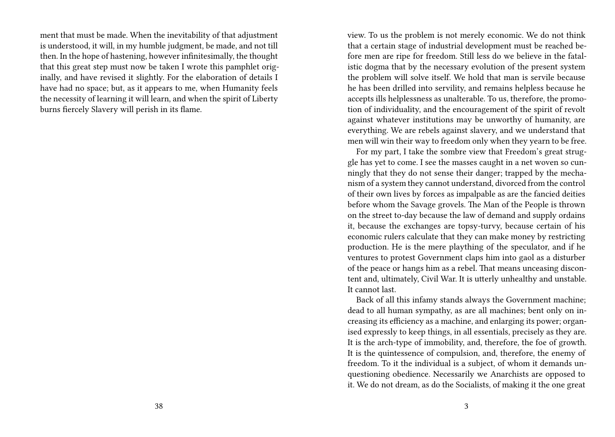ment that must be made. When the inevitability of that adjustment is understood, it will, in my humble judgment, be made, and not till then. In the hope of hastening, however infinitesimally, the thought that this great step must now be taken I wrote this pamphlet originally, and have revised it slightly. For the elaboration of details I have had no space; but, as it appears to me, when Humanity feels the necessity of learning it will learn, and when the spirit of Liberty burns fiercely Slavery will perish in its flame.

view. To us the problem is not merely economic. We do not think that a certain stage of industrial development must be reached before men are ripe for freedom. Still less do we believe in the fatalistic dogma that by the necessary evolution of the present system the problem will solve itself. We hold that man is servile because he has been drilled into servility, and remains helpless because he accepts ills helplessness as unalterable. To us, therefore, the promotion of individuality, and the encouragement of the spirit of revolt against whatever institutions may be unworthy of humanity, are everything. We are rebels against slavery, and we understand that men will win their way to freedom only when they yearn to be free.

For my part, I take the sombre view that Freedom's great struggle has yet to come. I see the masses caught in a net woven so cunningly that they do not sense their danger; trapped by the mechanism of a system they cannot understand, divorced from the control of their own lives by forces as impalpable as are the fancied deities before whom the Savage grovels. The Man of the People is thrown on the street to-day because the law of demand and supply ordains it, because the exchanges are topsy-turvy, because certain of his economic rulers calculate that they can make money by restricting production. He is the mere plaything of the speculator, and if he ventures to protest Government claps him into gaol as a disturber of the peace or hangs him as a rebel. That means unceasing discontent and, ultimately, Civil War. It is utterly unhealthy and unstable. It cannot last.

Back of all this infamy stands always the Government machine; dead to all human sympathy, as are all machines; bent only on increasing its efficiency as a machine, and enlarging its power; organised expressly to keep things, in all essentials, precisely as they are. It is the arch-type of immobility, and, therefore, the foe of growth. It is the quintessence of compulsion, and, therefore, the enemy of freedom. To it the individual is a subject, of whom it demands unquestioning obedience. Necessarily we Anarchists are opposed to it. We do not dream, as do the Socialists, of making it the one great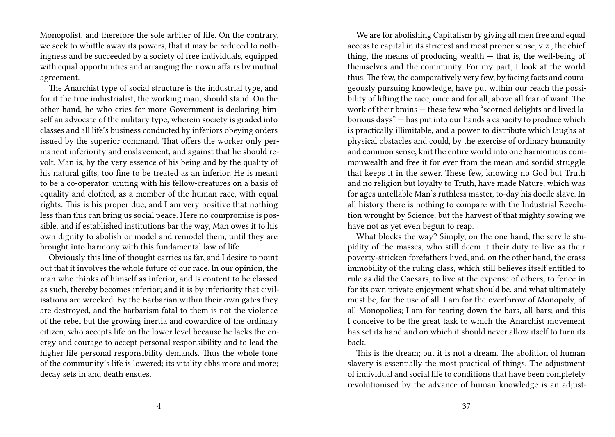Monopolist, and therefore the sole arbiter of life. On the contrary, we seek to whittle away its powers, that it may be reduced to nothingness and be succeeded by a society of free individuals, equipped with equal opportunities and arranging their own affairs by mutual agreement.

The Anarchist type of social structure is the industrial type, and for it the true industrialist, the working man, should stand. On the other hand, he who cries for more Government is declaring himself an advocate of the military type, wherein society is graded into classes and all life's business conducted by inferiors obeying orders issued by the superior command. That offers the worker only permanent inferiority and enslavement, and against that he should revolt. Man is, by the very essence of his being and by the quality of his natural gifts, too fine to be treated as an inferior. He is meant to be a co-operator, uniting with his fellow-creatures on a basis of equality and clothed, as a member of the human race, with equal rights. This is his proper due, and I am very positive that nothing less than this can bring us social peace. Here no compromise is possible, and if established institutions bar the way, Man owes it to his own dignity to abolish or model and remodel them, until they are brought into harmony with this fundamental law of life.

Obviously this line of thought carries us far, and I desire to point out that it involves the whole future of our race. In our opinion, the man who thinks of himself as inferior, and is content to be classed as such, thereby becomes inferior; and it is by inferiority that civilisations are wrecked. By the Barbarian within their own gates they are destroyed, and the barbarism fatal to them is not the violence of the rebel but the growing inertia and cowardice of the ordinary citizen, who accepts life on the lower level because he lacks the energy and courage to accept personal responsibility and to lead the higher life personal responsibility demands. Thus the whole tone of the community's life is lowered; its vitality ebbs more and more; decay sets in and death ensues.

We are for abolishing Capitalism by giving all men free and equal access to capital in its strictest and most proper sense, viz., the chief thing, the means of producing wealth  $-$  that is, the well-being of themselves and the community. For my part, I look at the world thus. The few, the comparatively very few, by facing facts and courageously pursuing knowledge, have put within our reach the possibility of lifting the race, once and for all, above all fear of want. The work of their brains — these few who "scorned delights and lived laborious days" — has put into our hands a capacity to produce which is practically illimitable, and a power to distribute which laughs at physical obstacles and could, by the exercise of ordinary humanity and common sense, knit the entire world into one harmonious commonwealth and free it for ever from the mean and sordid struggle that keeps it in the sewer. These few, knowing no God but Truth and no religion but loyalty to Truth, have made Nature, which was for ages untellable Man's ruthless master, to-day his docile slave. In all history there is nothing to compare with the Industrial Revolution wrought by Science, but the harvest of that mighty sowing we have not as yet even begun to reap.

What blocks the way? Simply, on the one hand, the servile stupidity of the masses, who still deem it their duty to live as their poverty-stricken forefathers lived, and, on the other hand, the crass immobility of the ruling class, which still believes itself entitled to rule as did the Caesars, to live at the expense of others, to fence in for its own private enjoyment what should be, and what ultimately must be, for the use of all. I am for the overthrow of Monopoly, of all Monopolies; I am for tearing down the bars, all bars; and this I conceive to be the great task to which the Anarchist movement has set its hand and on which it should never allow itself to turn its back.

This is the dream; but it is not a dream. The abolition of human slavery is essentially the most practical of things. The adjustment of individual and social life to conditions that have been completely revolutionised by the advance of human knowledge is an adjust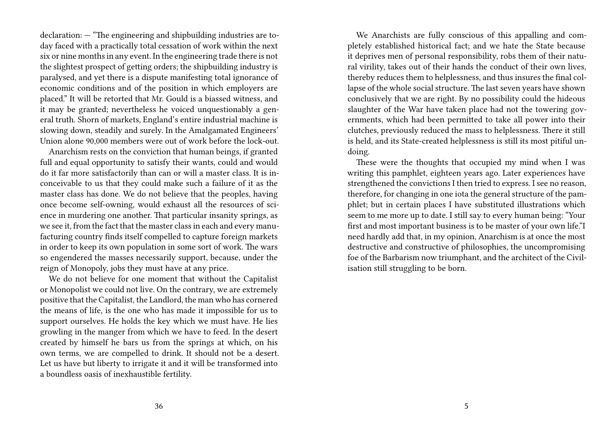declaration: — "The engineering and shipbuilding industries are today faced with a practically total cessation of work within the next six or nine months in any event. In the engineering trade there is not the slightest prospect of getting orders; the shipbuilding industry is paralysed, and yet there is a dispute manifesting total ignorance of economic conditions and of the position in which employers are placed." It will be retorted that Mr. Gould is a biassed witness, and it may be granted; nevertheless he voiced unquestionably a general truth. Shorn of markets, England's entire industrial machine is slowing down, steadily and surely. In the Amalgamated Engineers' Union alone 90,000 members were out of work before the lock-out.

Anarchism rests on the conviction that human beings, if granted full and equal opportunity to satisfy their wants, could and would do it far more satisfactorily than can or will a master class. It is inconceivable to us that they could make such a failure of it as the master class has done. We do not believe that the peoples, having once become self-owning, would exhaust all the resources of science in murdering one another. That particular insanity springs, as we see it, from the fact that the master class in each and every manufacturing country finds itself compelled to capture foreign markets in order to keep its own population in some sort of work. The wars so engendered the masses necessarily support, because, under the reign of Monopoly, jobs they must have at any price.

We do not believe for one moment that without the Capitalist or Monopolist we could not live. On the contrary, we are extremely positive that the Capitalist, the Landlord, the man who has cornered the means of life, is the one who has made it impossible for us to support ourselves. He holds the key which we must have. He lies growling in the manger from which we have to feed. In the desert created by himself he bars us from the springs at which, on his own terms, we are compelled to drink. It should not be a desert. Let us have but liberty to irrigate it and it will be transformed into a boundless oasis of inexhaustible fertility.

We Anarchists are fully conscious of this appalling and completely established historical fact; and we hate the State because it deprives men of personal responsibility, robs them of their natural virility, takes out of their hands the conduct of their own lives, thereby reduces them to helplessness, and thus insures the final collapse of the whole social structure. The last seven years have shown conclusively that we are right. By no possibility could the hideous slaughter of the War have taken place had not the towering governments, which had been permitted to take all power into their clutches, previously reduced the mass to helplessness. There it still is held, and its State-created helplessness is still its most pitiful undoing.

These were the thoughts that occupied my mind when I was writing this pamphlet, eighteen years ago. Later experiences have strengthened the convictions I then tried to express. I see no reason, therefore, for changing in one iota the general structure of the pamphlet; but in certain places I have substituted illustrations which seem to me more up to date. I still say to every human being: "Your first and most important business is to be master of your own life."I need hardly add that, in my opinion, Anarchism is at once the most destructive and constructive of philosophies, the uncompromising foe of the Barbarism now triumphant, and the architect of the Civilisation still struggling to be born.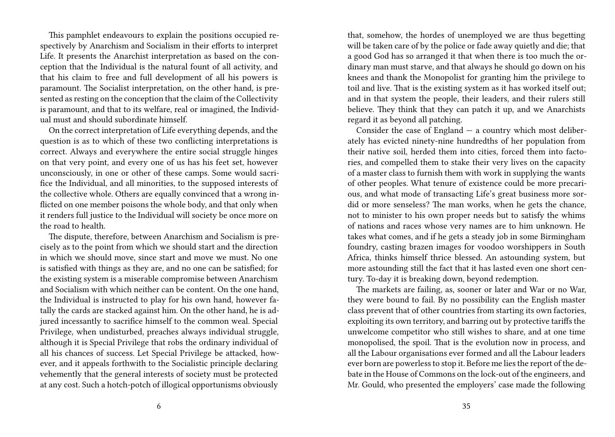This pamphlet endeavours to explain the positions occupied respectively by Anarchism and Socialism in their efforts to interpret Life. It presents the Anarchist interpretation as based on the conception that the Individual is the natural fount of all activity, and that his claim to free and full development of all his powers is paramount. The Socialist interpretation, on the other hand, is presented as resting on the conception that the claim of the Collectivity is paramount, and that to its welfare, real or imagined, the Individual must and should subordinate himself.

On the correct interpretation of Life everything depends, and the question is as to which of these two conflicting interpretations is correct. Always and everywhere the entire social struggle hinges on that very point, and every one of us has his feet set, however unconsciously, in one or other of these camps. Some would sacrifice the Individual, and all minorities, to the supposed interests of the collective whole. Others are equally convinced that a wrong inflicted on one member poisons the whole body, and that only when it renders full justice to the Individual will society be once more on the road to health.

The dispute, therefore, between Anarchism and Socialism is precisely as to the point from which we should start and the direction in which we should move, since start and move we must. No one is satisfied with things as they are, and no one can be satisfied; for the existing system is a miserable compromise between Anarchism and Socialism with which neither can be content. On the one hand, the Individual is instructed to play for his own hand, however fatally the cards are stacked against him. On the other hand, he is adjured incessantly to sacrifice himself to the common weal. Special Privilege, when undisturbed, preaches always individual struggle, although it is Special Privilege that robs the ordinary individual of all his chances of success. Let Special Privilege be attacked, however, and it appeals forthwith to the Socialistic principle declaring vehemently that the general interests of society must be protected at any cost. Such a hotch-potch of illogical opportunisms obviously

that, somehow, the hordes of unemployed we are thus begetting will be taken care of by the police or fade away quietly and die; that a good God has so arranged it that when there is too much the ordinary man must starve, and that always he should go down on his knees and thank the Monopolist for granting him the privilege to toil and live. That is the existing system as it has worked itself out; and in that system the people, their leaders, and their rulers still believe. They think that they can patch it up, and we Anarchists regard it as beyond all patching.

Consider the case of England  $-$  a country which most deliberately has evicted ninety-nine hundredths of her population from their native soil, herded them into cities, forced them into factories, and compelled them to stake their very lives on the capacity of a master class to furnish them with work in supplying the wants of other peoples. What tenure of existence could be more precarious, and what mode of transacting Life's great business more sordid or more senseless? The man works, when he gets the chance, not to minister to his own proper needs but to satisfy the whims of nations and races whose very names are to him unknown. He takes what comes, and if he gets a steady job in some Birmingham foundry, casting brazen images for voodoo worshippers in South Africa, thinks himself thrice blessed. An astounding system, but more astounding still the fact that it has lasted even one short century. To-day it is breaking down, beyond redemption.

The markets are failing, as, sooner or later and War or no War, they were bound to fail. By no possibility can the English master class prevent that of other countries from starting its own factories, exploiting its own territory, and barring out by protective tariffs the unwelcome competitor who still wishes to share, and at one time monopolised, the spoil. That is the evolution now in process, and all the Labour organisations ever formed and all the Labour leaders ever born are powerless to stop it. Before me lies the report of the debate in the House of Commons on the lock-out of the engineers, and Mr. Gould, who presented the employers' case made the following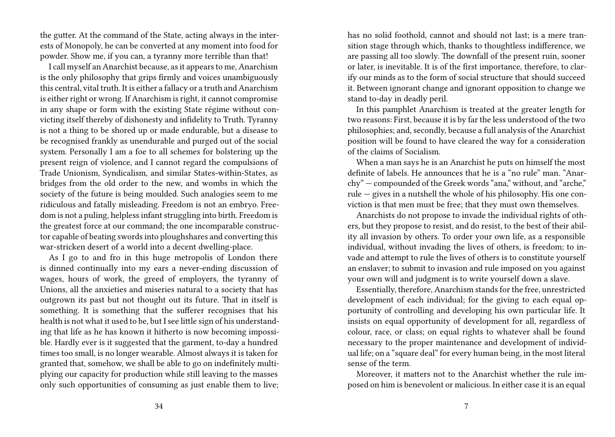the gutter. At the command of the State, acting always in the interests of Monopoly, he can be converted at any moment into food for powder. Show me, if you can, a tyranny more terrible than that!

I call myself an Anarchist because, as it appears to me, Anarchism is the only philosophy that grips firmly and voices unambiguously this central, vital truth. It is either a fallacy or a truth and Anarchism is either right or wrong. If Anarchism is right, it cannot compromise in any shape or form with the existing State régime without convicting itself thereby of dishonesty and infidelity to Truth. Tyranny is not a thing to be shored up or made endurable, but a disease to be recognised frankly as unendurable and purged out of the social system. Personally I am a foe to all schemes for bolstering up the present reign of violence, and I cannot regard the compulsions of Trade Unionism, Syndicalism, and similar States-within-States, as bridges from the old order to the new, and wombs in which the society of the future is being moulded. Such analogies seem to me ridiculous and fatally misleading. Freedom is not an embryo. Freedom is not a puling, helpless infant struggling into birth. Freedom is the greatest force at our command; the one incomparable constructor capable of beating swords into ploughshares and converting this war-stricken desert of a world into a decent dwelling-place.

As I go to and fro in this huge metropolis of London there is dinned continually into my ears a never-ending discussion of wages, hours of work, the greed of employers, the tyranny of Unions, all the anxieties and miseries natural to a society that has outgrown its past but not thought out its future. That in itself is something. It is something that the sufferer recognises that his health is not what it used to be, but I see little sign of his understanding that life as he has known it hitherto is now becoming impossible. Hardly ever is it suggested that the garment, to-day a hundred times too small, is no longer wearable. Almost always it is taken for granted that, somehow, we shall be able to go on indefinitely multiplying our capacity for production while still leaving to the masses only such opportunities of consuming as just enable them to live;

has no solid foothold, cannot and should not last; is a mere transition stage through which, thanks to thoughtless indifference, we are passing all too slowly. The downfall of the present ruin, sooner or later, is inevitable. It is of the first importance, therefore, to clarify our minds as to the form of social structure that should succeed it. Between ignorant change and ignorant opposition to change we stand to-day in deadly peril.

In this pamphlet Anarchism is treated at the greater length for two reasons: First, because it is by far the less understood of the two philosophies; and, secondly, because a full analysis of the Anarchist position will be found to have cleared the way for a consideration of the claims of Socialism.

When a man says he is an Anarchist he puts on himself the most definite of labels. He announces that he is a "no rule" man. "Anarchy" — compounded of the Greek words "ana," without, and "arche," rule — gives in a nutshell the whole of his philosophy. His one conviction is that men must be free; that they must own themselves.

Anarchists do not propose to invade the individual rights of others, but they propose to resist, and do resist, to the best of their ability all invasion by others. To order your own life, as a responsible individual, without invading the lives of others, is freedom; to invade and attempt to rule the lives of others is to constitute yourself an enslaver; to submit to invasion and rule imposed on you against your own will and judgment is to write yourself down a slave.

Essentially, therefore, Anarchism stands for the free, unrestricted development of each individual; for the giving to each equal opportunity of controlling and developing his own particular life. It insists on equal opportunity of development for all, regardless of colour, race, or class; on equal rights to whatever shall be found necessary to the proper maintenance and development of individual life; on a "square deal" for every human being, in the most literal sense of the term.

Moreover, it matters not to the Anarchist whether the rule imposed on him is benevolent or malicious. In either case it is an equal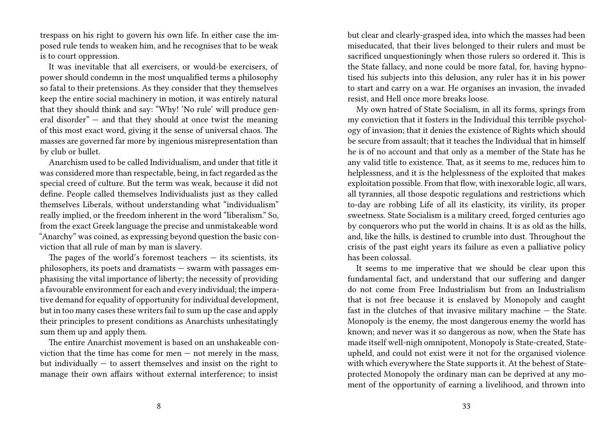trespass on his right to govern his own life. In either case the imposed rule tends to weaken him, and he recognises that to be weak is to court oppression.

It was inevitable that all exercisers, or would-be exercisers, of power should condemn in the most unqualified terms a philosophy so fatal to their pretensions. As they consider that they themselves keep the entire social machinery in motion, it was entirely natural that they should think and say: "Why! 'No rule' will produce general disorder" — and that they should at once twist the meaning of this most exact word, giving it the sense of universal chaos. The masses are governed far more by ingenious misrepresentation than by club or bullet.

Anarchism used to be called Individualism, and under that title it was considered more than respectable, being, in fact regarded as the special creed of culture. But the term was weak, because it did not define. People called themselves Individualists just as they called themselves Liberals, without understanding what "individualism" really implied, or the freedom inherent in the word "liberalism." So, from the exact Greek language the precise and unmistakeable word "Anarchy" was coined, as expressing beyond question the basic conviction that all rule of man by man is slavery.

The pages of the world's foremost teachers  $-$  its scientists, its philosophers, its poets and dramatists — swarm with passages emphasising the vital importance of liberty; the necessity of providing a favourable environment for each and every individual; the imperative demand for equality of opportunity for individual development, but in too many cases these writers fail to sum up the case and apply their principles to present conditions as Anarchists unhesitatingly sum them up and apply them.

The entire Anarchist movement is based on an unshakeable conviction that the time has come for men  $-$  not merely in the mass, but individually  $-$  to assert themselves and insist on the right to manage their own affairs without external interference; to insist

but clear and clearly-grasped idea, into which the masses had been miseducated, that their lives belonged to their rulers and must be sacrificed unquestioningly when those rulers so ordered it. This is the State fallacy, and none could be more fatal, for, having hypnotised his subjects into this delusion, any ruler has it in his power to start and carry on a war. He organises an invasion, the invaded resist, and Hell once more breaks loose.

My own hatred of State Socialism, in all its forms, springs from my conviction that it fosters in the Individual this terrible psychology of invasion; that it denies the existence of Rights which should be secure from assault; that it teaches the Individual that in himself he is of no account and that only as a member of the State has he any valid title to existence. That, as it seems to me, reduces him to helplessness, and it is the helplessness of the exploited that makes exploitation possible. From that flow, with inexorable logic, all wars, all tyrannies, all those despotic regulations and restrictions which to-day are robbing Life of all its elasticity, its virility, its proper sweetness. State Socialism is a military creed, forged centuries ago by conquerors who put the world in chains. It is as old as the hills, and, like the hills, is destined to crumble into dust. Throughout the crisis of the past eight years its failure as even a palliative policy has been colossal.

It seems to me imperative that we should be clear upon this fundamental fact, and understand that our suffering and danger do not come from Free Industrialism but from an Industrialism that is not free because it is enslaved by Monopoly and caught fast in the clutches of that invasive military machine — the State. Monopoly is the enemy, the most dangerous enemy the world has known; and never was it so dangerous as now, when the State has made itself well-nigh omnipotent, Monopoly is State-created, Stateupheld, and could not exist were it not for the organised violence with which everywhere the State supports it. At the behest of Stateprotected Monopoly the ordinary man can be deprived at any moment of the opportunity of earning a livelihood, and thrown into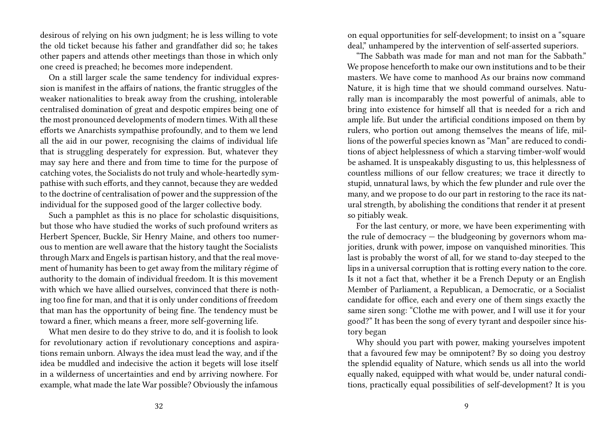desirous of relying on his own judgment; he is less willing to vote the old ticket because his father and grandfather did so; he takes other papers and attends other meetings than those in which only one creed is preached; he becomes more independent.

On a still larger scale the same tendency for individual expression is manifest in the affairs of nations, the frantic struggles of the weaker nationalities to break away from the crushing, intolerable centralised domination of great and despotic empires being one of the most pronounced developments of modern times. With all these efforts we Anarchists sympathise profoundly, and to them we lend all the aid in our power, recognising the claims of individual life that is struggling desperately for expression. But, whatever they may say here and there and from time to time for the purpose of catching votes, the Socialists do not truly and whole-heartedly sympathise with such efforts, and they cannot, because they are wedded to the doctrine of centralisation of power and the suppression of the individual for the supposed good of the larger collective body.

Such a pamphlet as this is no place for scholastic disquisitions, but those who have studied the works of such profound writers as Herbert Spencer, Buckle, Sir Henry Maine, and others too numerous to mention are well aware that the history taught the Socialists through Marx and Engels is partisan history, and that the real movement of humanity has been to get away from the military régime of authority to the domain of individual freedom. It is this movement with which we have allied ourselves, convinced that there is nothing too fine for man, and that it is only under conditions of freedom that man has the opportunity of being fine. The tendency must be toward a finer, which means a freer, more self-governing life.

What men desire to do they strive to do, and it is foolish to look for revolutionary action if revolutionary conceptions and aspirations remain unborn. Always the idea must lead the way, and if the idea be muddled and indecisive the action it begets will lose itself in a wilderness of uncertainties and end by arriving nowhere. For example, what made the late War possible? Obviously the infamous

on equal opportunities for self-development; to insist on a "square deal," unhampered by the intervention of self-asserted superiors.

"The Sabbath was made for man and not man for the Sabbath." We propose henceforth to make our own institutions and to be their masters. We have come to manhood As our brains now command Nature, it is high time that we should command ourselves. Naturally man is incomparably the most powerful of animals, able to bring into existence for himself all that is needed for a rich and ample life. But under the artificial conditions imposed on them by rulers, who portion out among themselves the means of life, millions of the powerful species known as "Man" are reduced to conditions of abject helplessness of which a starving timber-wolf would be ashamed. It is unspeakably disgusting to us, this helplessness of countless millions of our fellow creatures; we trace it directly to stupid, unnatural laws, by which the few plunder and rule over the many, and we propose to do our part in restoring to the race its natural strength, by abolishing the conditions that render it at present so pitiably weak.

For the last century, or more, we have been experimenting with the rule of democracy  $-$  the bludgeoning by governors whom majorities, drunk with power, impose on vanquished minorities. This last is probably the worst of all, for we stand to-day steeped to the lips in a universal corruption that is rotting every nation to the core. Is it not a fact that, whether it be a French Deputy or an English Member of Parliament, a Republican, a Democratic, or a Socialist candidate for office, each and every one of them sings exactly the same siren song: "Clothe me with power, and I will use it for your good?" It has been the song of every tyrant and despoiler since history began

Why should you part with power, making yourselves impotent that a favoured few may be omnipotent? By so doing you destroy the splendid equality of Nature, which sends us all into the world equally naked, equipped with what would be, under natural conditions, practically equal possibilities of self-development? It is you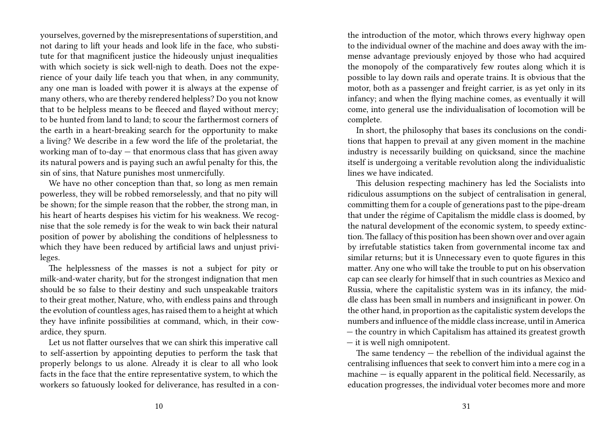yourselves, governed by the misrepresentations of superstition, and not daring to lift your heads and look life in the face, who substitute for that magnificent justice the hideously unjust inequalities with which society is sick well-nigh to death. Does not the experience of your daily life teach you that when, in any community, any one man is loaded with power it is always at the expense of many others, who are thereby rendered helpless? Do you not know that to be helpless means to be fleeced and flayed without mercy; to be hunted from land to land; to scour the farthermost corners of the earth in a heart-breaking search for the opportunity to make a living? We describe in a few word the life of the proletariat, the working man of to-day  $-$  that enormous class that has given away its natural powers and is paying such an awful penalty for this, the sin of sins, that Nature punishes most unmercifully.

We have no other conception than that, so long as men remain powerless, they will be robbed remorselessly, and that no pity will be shown; for the simple reason that the robber, the strong man, in his heart of hearts despises his victim for his weakness. We recognise that the sole remedy is for the weak to win back their natural position of power by abolishing the conditions of helplessness to which they have been reduced by artificial laws and unjust privileges.

The helplessness of the masses is not a subject for pity or milk-and-water charity, but for the strongest indignation that men should be so false to their destiny and such unspeakable traitors to their great mother, Nature, who, with endless pains and through the evolution of countless ages, has raised them to a height at which they have infinite possibilities at command, which, in their cowardice, they spurn.

Let us not flatter ourselves that we can shirk this imperative call to self-assertion by appointing deputies to perform the task that properly belongs to us alone. Already it is clear to all who look facts in the face that the entire representative system, to which the workers so fatuously looked for deliverance, has resulted in a conthe introduction of the motor, which throws every highway open to the individual owner of the machine and does away with the immense advantage previously enjoyed by those who had acquired the monopoly of the comparatively few routes along which it is possible to lay down rails and operate trains. It is obvious that the motor, both as a passenger and freight carrier, is as yet only in its infancy; and when the flying machine comes, as eventually it will come, into general use the individualisation of locomotion will be complete.

In short, the philosophy that bases its conclusions on the conditions that happen to prevail at any given moment in the machine industry is necessarily building on quicksand, since the machine itself is undergoing a veritable revolution along the individualistic lines we have indicated.

This delusion respecting machinery has led the Socialists into ridiculous assumptions on the subject of centralisation in general, committing them for a couple of generations past to the pipe-dream that under the régime of Capitalism the middle class is doomed, by the natural development of the economic system, to speedy extinction.The fallacy of this position has been shown over and over again by irrefutable statistics taken from governmental income tax and similar returns; but it is Unnecessary even to quote figures in this matter. Any one who will take the trouble to put on his observation cap can see clearly for himself that in such countries as Mexico and Russia, where the capitalistic system was in its infancy, the middle class has been small in numbers and insignificant in power. On the other hand, in proportion as the capitalistic system develops the numbers and influence of the middle class increase, until in America — the country in which Capitalism has attained its greatest growth — it is well nigh omnipotent.

The same tendency  $-$  the rebellion of the individual against the centralising influences that seek to convert him into a mere cog in a machine  $-$  is equally apparent in the political field. Necessarily, as education progresses, the individual voter becomes more and more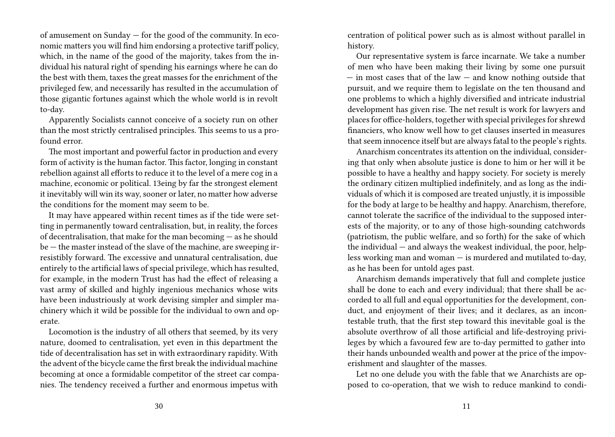of amusement on Sunday — for the good of the community. In economic matters you will find him endorsing a protective tariff policy, which, in the name of the good of the majority, takes from the individual his natural right of spending his earnings where he can do the best with them, taxes the great masses for the enrichment of the privileged few, and necessarily has resulted in the accumulation of those gigantic fortunes against which the whole world is in revolt to-day.

Apparently Socialists cannot conceive of a society run on other than the most strictly centralised principles. This seems to us a profound error.

The most important and powerful factor in production and every form of activity is the human factor. This factor, longing in constant rebellion against all efforts to reduce it to the level of a mere cog in a machine, economic or political. 13eing by far the strongest element it inevitably will win its way, sooner or later, no matter how adverse the conditions for the moment may seem to be.

It may have appeared within recent times as if the tide were setting in permanently toward centralisation, but, in reality, the forces of decentralisation, that make for the man becoming — as he should be — the master instead of the slave of the machine, are sweeping irresistibly forward. The excessive and unnatural centralisation, due entirely to the artificial laws of special privilege, which has resulted, for example, in the modern Trust has had the effect of releasing a vast army of skilled and highly ingenious mechanics whose wits have been industriously at work devising simpler and simpler machinery which it wild be possible for the individual to own and operate.

Locomotion is the industry of all others that seemed, by its very nature, doomed to centralisation, yet even in this department the tide of decentralisation has set in with extraordinary rapidity. With the advent of the bicycle came the first break the individual machine becoming at once a formidable competitor of the street car companies. The tendency received a further and enormous impetus with

centration of political power such as is almost without parallel in history.

Our representative system is farce incarnate. We take a number of men who have been making their living by some one pursuit  $-$  in most cases that of the law  $-$  and know nothing outside that pursuit, and we require them to legislate on the ten thousand and one problems to which a highly diversified and intricate industrial development has given rise. The net result is work for lawyers and places for office-holders, together with special privileges for shrewd financiers, who know well how to get clauses inserted in measures that seem innocence itself but are always fatal to the people's rights.

Anarchism concentrates its attention on the individual, considering that only when absolute justice is done to him or her will it be possible to have a healthy and happy society. For society is merely the ordinary citizen multiplied indefinitely, and as long as the individuals of which it is composed are treated unjustly, it is impossible for the body at large to be healthy and happy. Anarchism, therefore, cannot tolerate the sacrifice of the individual to the supposed interests of the majority, or to any of those high-sounding catchwords (patriotism, the public welfare, and so forth) for the sake of which the individual — and always the weakest individual, the poor, helpless working man and woman — is murdered and mutilated to-day, as he has been for untold ages past.

Anarchism demands imperatively that full and complete justice shall be done to each and every individual; that there shall be accorded to all full and equal opportunities for the development, conduct, and enjoyment of their lives; and it declares, as an incontestable truth, that the first step toward this inevitable goal is the absolute overthrow of all those artificial and life-destroying privileges by which a favoured few are to-day permitted to gather into their hands unbounded wealth and power at the price of the impoverishment and slaughter of the masses.

Let no one delude you with the fable that we Anarchists are opposed to co-operation, that we wish to reduce mankind to condi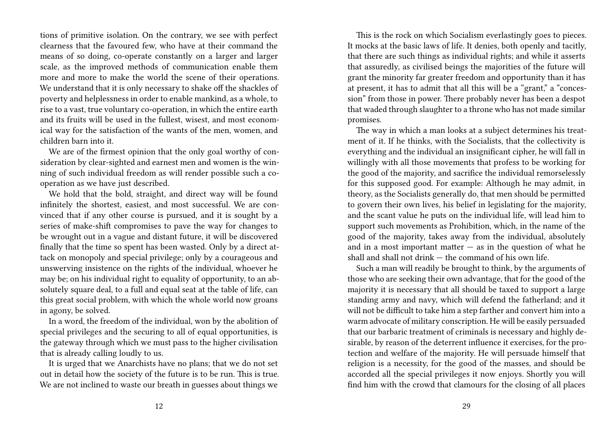tions of primitive isolation. On the contrary, we see with perfect clearness that the favoured few, who have at their command the means of so doing, co-operate constantly on a larger and larger scale, as the improved methods of communication enable them more and more to make the world the scene of their operations. We understand that it is only necessary to shake off the shackles of poverty and helplessness in order to enable mankind, as a whole, to rise to a vast, true voluntary co-operation, in which the entire earth and its fruits will be used in the fullest, wisest, and most economical way for the satisfaction of the wants of the men, women, and children barn into it.

We are of the firmest opinion that the only goal worthy of consideration by clear-sighted and earnest men and women is the winning of such individual freedom as will render possible such a cooperation as we have just described.

We hold that the bold, straight, and direct way will be found infinitely the shortest, easiest, and most successful. We are convinced that if any other course is pursued, and it is sought by a series of make-shift compromises to pave the way for changes to be wrought out in a vague and distant future, it will be discovered finally that the time so spent has been wasted. Only by a direct attack on monopoly and special privilege; only by a courageous and unswerving insistence on the rights of the individual, whoever he may be; on his individual right to equality of opportunity, to an absolutely square deal, to a full and equal seat at the table of life, can this great social problem, with which the whole world now groans in agony, be solved.

In a word, the freedom of the individual, won by the abolition of special privileges and the securing to all of equal opportunities, is the gateway through which we must pass to the higher civilisation that is already calling loudly to us.

It is urged that we Anarchists have no plans; that we do not set out in detail how the society of the future is to be run. This is true. We are not inclined to waste our breath in guesses about things we

This is the rock on which Socialism everlastingly goes to pieces. It mocks at the basic laws of life. It denies, both openly and tacitly, that there are such things as individual rights; and while it asserts that assuredly, as civilised beings the majorities of the future will grant the minority far greater freedom and opportunity than it has at present, it has to admit that all this will be a "grant," a "concession" from those in power. There probably never has been a despot that waded through slaughter to a throne who has not made similar promises.

The way in which a man looks at a subject determines his treatment of it. If he thinks, with the Socialists, that the collectivity is everything and the individual an insignificant cipher, he will fall in willingly with all those movements that profess to be working for the good of the majority, and sacrifice the individual remorselessly for this supposed good. For example: Although he may admit, in theory, as the Socialists generally do, that men should be permitted to govern their own lives, his belief in legislating for the majority, and the scant value he puts on the individual life, will lead him to support such movements as Prohibition, which, in the name of the good of the majority, takes away from the individual, absolutely and in a most important matter  $-$  as in the question of what he shall and shall not drink — the command of his own life.

Such a man will readily be brought to think, by the arguments of those who are seeking their own advantage, that for the good of the majority it is necessary that all should be taxed to support a large standing army and navy, which will defend the fatherland; and it will not be difficult to take him a step farther and convert him into a warm advocate of military conscription. He will be easily persuaded that our barbaric treatment of criminals is necessary and highly desirable, by reason of the deterrent influence it exercises, for the protection and welfare of the majority. He will persuade himself that religion is a necessity, for the good of the masses, and should be accorded all the special privileges it now enjoys. Shortly you will find him with the crowd that clamours for the closing of all places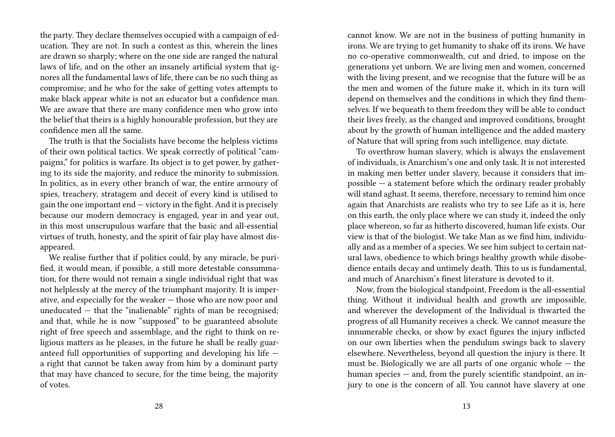the party. They declare themselves occupied with a campaign of education. They are not. In such a contest as this, wherein the lines are drawn so sharply; where on the one side are ranged the natural laws of life, and on the other an insanely artificial system that ignores all the fundamental laws of life, there can be no such thing as compromise; and he who for the sake of getting votes attempts to make black appear white is not an educator but a confidence man. We are aware that there are many confidence men who grow into the belief that theirs is a highly honourable profession, but they are confidence men all the same.

The truth is that the Socialists have become the helpless victims of their own political tactics. We speak correctly of political "campaigns," for politics is warfare. Its object is to get power, by gathering to its side the majority, and reduce the minority to submission. In politics, as in every other branch of war, the entire armoury of spies, treachery, stratagem and deceit of every kind is utilised to gain the one important end — victory in the fight. And it is precisely because our modern democracy is engaged, year in and year out, in this most unscrupulous warfare that the basic and all-essential virtues of truth, honesty, and the spirit of fair play have almost disappeared.

We realise further that if politics could, by any miracle, be purified, it would mean, if possible, a still more detestable consummation, for there would not remain a single individual right that was not helplessly at the mercy of the triumphant majority. It is imperative, and especially for the weaker — those who are now poor and uneducated  $-$  that the "inalienable" rights of man be recognised; and that, while he is now "supposed" to be guaranteed absolute right of free speech and assemblage, and the right to think on religious matters as he pleases, in the future he shall be really guaranteed full opportunities of supporting and developing his life a right that cannot be taken away from him by a dominant party that may have chanced to secure, for the time being, the majority of votes.

cannot know. We are not in the business of putting humanity in irons. We are trying to get humanity to shake off its irons. We have no co-operative commonwealth, cut and dried, to impose on the generations yet unborn. We are living men and women, concerned with the living present, and we recognise that the future will be as the men and women of the future make it, which in its turn will depend on themselves and the conditions in which they find themselves. If we bequeath to them freedom they will be able to conduct their lives freely, as the changed and improved conditions, brought about by the growth of human intelligence and the added mastery of Nature that will spring from such intelligence, may dictate.

To overthrow human slavery, which is always the enslavement of individuals, is Anarchism's one and only task. It is not interested in making men better under slavery, because it considers that impossible  $-$  a statement before which the ordinary reader probably will stand aghast. It seems, therefore, necessary to remind him once again that Anarchists are realists who try to see Life as it is, here on this earth, the only place where we can study it, indeed the only place whereon, so far as hitherto discovered, human life exists. Our view is that of the biologist. We take Man as we find him, individually and as a member of a species. We see him subject to certain natural laws, obedience to which brings healthy growth while disobedience entails decay and untimely death. This to us is fundamental, and much of Anarchism's finest literature is devoted to it.

Now, from the biological standpoint, Freedom is the all-essential thing. Without it individual health and growth are impossible, and wherever the development of the Individual is thwarted the progress of all Humanity receives a check. We cannot measure the innumerable checks, or show by exact figures the injury inflicted on our own liberties when the pendulum swings back to slavery elsewhere. Nevertheless, beyond all question the injury is there. It must be. Biologically we are all parts of one organic whole — the human species — and, from the purely scientific standpoint, an injury to one is the concern of all. You cannot have slavery at one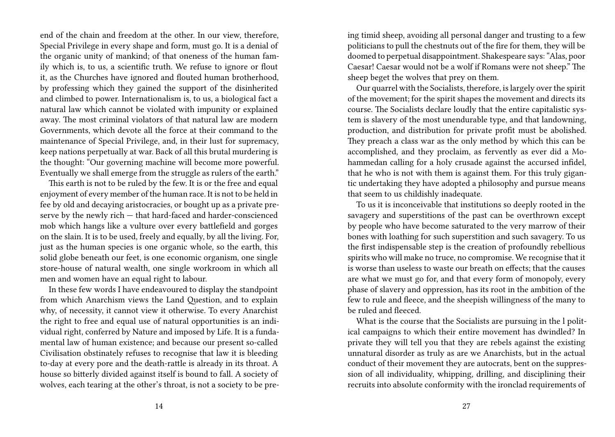end of the chain and freedom at the other. In our view, therefore, Special Privilege in every shape and form, must go. It is a denial of the organic unity of mankind; of that oneness of the human family which is, to us, a scientific truth. We refuse to ignore or flout it, as the Churches have ignored and flouted human brotherhood, by professing which they gained the support of the disinherited and climbed to power. Internationalism is, to us, a biological fact a natural law which cannot be violated with impunity or explained away. The most criminal violators of that natural law are modern Governments, which devote all the force at their command to the maintenance of Special Privilege, and, in their lust for supremacy, keep nations perpetually at war. Back of all this brutal murdering is the thought: "Our governing machine will become more powerful. Eventually we shall emerge from the struggle as rulers of the earth."

This earth is not to be ruled by the few. It is or the free and equal enjoyment of every member of the human race. It is not to be held in fee by old and decaying aristocracies, or bought up as a private preserve by the newly rich — that hard-faced and harder-conscienced mob which hangs like a vulture over every battlefield and gorges on the slain. It is to be used, freely and equally, by all the living. For, just as the human species is one organic whole, so the earth, this solid globe beneath our feet, is one economic organism, one single store-house of natural wealth, one single workroom in which all men and women have an equal right to labour.

In these few words I have endeavoured to display the standpoint from which Anarchism views the Land Question, and to explain why, of necessity, it cannot view it otherwise. To every Anarchist the right to free and equal use of natural opportunities is an individual right, conferred by Nature and imposed by Life. It is a fundamental law of human existence; and because our present so-called Civilisation obstinately refuses to recognise that law it is bleeding to-day at every pore and the death-rattle is already in its throat. A house so bitterly divided against itself is bound to fall. A society of wolves, each tearing at the other's throat, is not a society to be preing timid sheep, avoiding all personal danger and trusting to a few politicians to pull the chestnuts out of the fire for them, they will be doomed to perpetual disappointment. Shakespeare says: "Alas, poor Caesar! Caesar would not be a wolf if Romans were not sheep." The sheep beget the wolves that prey on them.

Our quarrel with the Socialists, therefore, is largely over the spirit of the movement; for the spirit shapes the movement and directs its course. The Socialists declare loudly that the entire capitalistic system is slavery of the most unendurable type, and that landowning, production, and distribution for private profit must be abolished. They preach a class war as the only method by which this can be accomplished, and they proclaim, as fervently as ever did a Mohammedan calling for a holy crusade against the accursed infidel, that he who is not with them is against them. For this truly gigantic undertaking they have adopted a philosophy and pursue means that seem to us childishly inadequate.

To us it is inconceivable that institutions so deeply rooted in the savagery and superstitions of the past can be overthrown except by people who have become saturated to the very marrow of their bones with loathing for such superstition and such savagery. To us the first indispensable step is the creation of profoundly rebellious spirits who will make no truce, no compromise. We recognise that it is worse than useless to waste our breath on effects; that the causes are what we must go for, and that every form of monopoly, every phase of slavery and oppression, has its root in the ambition of the few to rule and fleece, and the sheepish willingness of the many to be ruled and fleeced.

What is the course that the Socialists are pursuing in the l political campaigns to which their entire movement has dwindled? In private they will tell you that they are rebels against the existing unnatural disorder as truly as are we Anarchists, but in the actual conduct of their movement they are autocrats, bent on the suppression of all individuality, whipping, drilling, and disciplining their recruits into absolute conformity with the ironclad requirements of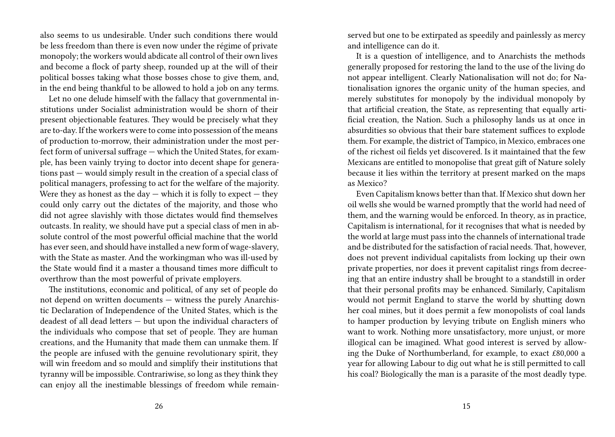also seems to us undesirable. Under such conditions there would be less freedom than there is even now under the régime of private monopoly; the workers would abdicate all control of their own lives and become a flock of party sheep, rounded up at the will of their political bosses taking what those bosses chose to give them, and, in the end being thankful to be allowed to hold a job on any terms.

Let no one delude himself with the fallacy that governmental institutions under Socialist administration would be shorn of their present objectionable features. They would be precisely what they are to-day. If the workers were to come into possession of the means of production to-morrow, their administration under the most perfect form of universal suffrage — which the United States, for example, has been vainly trying to doctor into decent shape for generations past — would simply result in the creation of a special class of political managers, professing to act for the welfare of the majority. Were they as honest as the day  $-$  which it is folly to expect  $-$  they could only carry out the dictates of the majority, and those who did not agree slavishly with those dictates would find themselves outcasts. In reality, we should have put a special class of men in absolute control of the most powerful official machine that the world has ever seen, and should have installed a new form of wage-slavery, with the State as master. And the workingman who was ill-used by the State would find it a master a thousand times more difficult to overthrow than the most powerful of private employers.

The institutions, economic and political, of any set of people do not depend on written documents — witness the purely Anarchistic Declaration of Independence of the United States, which is the deadest of all dead letters — but upon the individual characters of the individuals who compose that set of people. They are human creations, and the Humanity that made them can unmake them. If the people are infused with the genuine revolutionary spirit, they will win freedom and so mould and simplify their institutions that tyranny will be impossible. Contrariwise, so long as they think they can enjoy all the inestimable blessings of freedom while remainserved but one to be extirpated as speedily and painlessly as mercy and intelligence can do it.

It is a question of intelligence, and to Anarchists the methods generally proposed for restoring the land to the use of the living do not appear intelligent. Clearly Nationalisation will not do; for Nationalisation ignores the organic unity of the human species, and merely substitutes for monopoly by the individual monopoly by that artificial creation, the State, as representing that equally artificial creation, the Nation. Such a philosophy lands us at once in absurdities so obvious that their bare statement suffices to explode them. For example, the district of Tampico, in Mexico, embraces one of the richest oil fields yet discovered. Is it maintained that the few Mexicans are entitled to monopolise that great gift of Nature solely because it lies within the territory at present marked on the maps as Mexico?

Even Capitalism knows better than that. If Mexico shut down her oil wells she would be warned promptly that the world had need of them, and the warning would be enforced. In theory, as in practice, Capitalism is international, for it recognises that what is needed by the world at large must pass into the channels of international trade and be distributed for the satisfaction of racial needs. That, however, does not prevent individual capitalists from locking up their own private properties, nor does it prevent capitalist rings from decreeing that an entire industry shall be brought to a standstill in order that their personal profits may be enhanced. Similarly, Capitalism would not permit England to starve the world by shutting down her coal mines, but it does permit a few monopolists of coal lands to hamper production by levying tribute on English miners who want to work. Nothing more unsatisfactory, more unjust, or more illogical can be imagined. What good interest is served by allowing the Duke of Northumberland, for example, to exact £80,000 a year for allowing Labour to dig out what he is still permitted to call his coal? Biologically the man is a parasite of the most deadly type.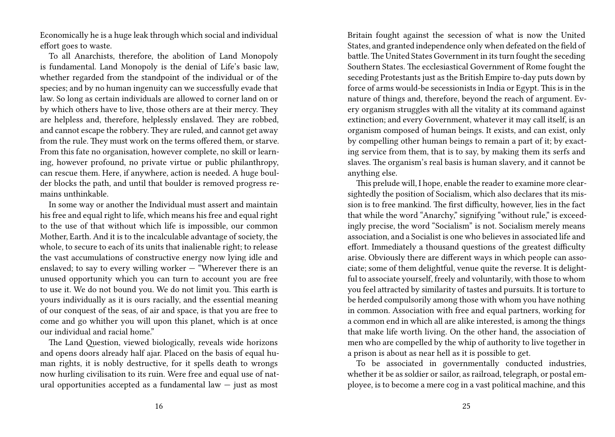Economically he is a huge leak through which social and individual effort goes to waste.

To all Anarchists, therefore, the abolition of Land Monopoly is fundamental. Land Monopoly is the denial of Life's basic law, whether regarded from the standpoint of the individual or of the species; and by no human ingenuity can we successfully evade that law. So long as certain individuals are allowed to corner land on or by which others have to live, those others are at their mercy. They are helpless and, therefore, helplessly enslaved. They are robbed, and cannot escape the robbery. They are ruled, and cannot get away from the rule. They must work on the terms offered them, or starve. From this fate no organisation, however complete, no skill or learning, however profound, no private virtue or public philanthropy, can rescue them. Here, if anywhere, action is needed. A huge boulder blocks the path, and until that boulder is removed progress remains unthinkable.

In some way or another the Individual must assert and maintain his free and equal right to life, which means his free and equal right to the use of that without which life is impossible, our common Mother, Earth. And it is to the incalculable advantage of society, the whole, to secure to each of its units that inalienable right; to release the vast accumulations of constructive energy now lying idle and enslaved; to say to every willing worker — "Wherever there is an unused opportunity which you can turn to account you are free to use it. We do not bound you. We do not limit you. This earth is yours individually as it is ours racially, and the essential meaning of our conquest of the seas, of air and space, is that you are free to come and go whither you will upon this planet, which is at once our individual and racial home."

The Land Question, viewed biologically, reveals wide horizons and opens doors already half ajar. Placed on the basis of equal human rights, it is nobly destructive, for it spells death to wrongs now hurling civilisation to its ruin. Were free and equal use of natural opportunities accepted as a fundamental law — just as most

Britain fought against the secession of what is now the United States, and granted independence only when defeated on the field of battle. The United States Government in its turn fought the seceding Southern States. The ecclesiastical Government of Rome fought the seceding Protestants just as the British Empire to-day puts down by force of arms would-be secessionists in India or Egypt. This is in the nature of things and, therefore, beyond the reach of argument. Every organism struggles with all the vitality at its command against extinction; and every Government, whatever it may call itself, is an organism composed of human beings. It exists, and can exist, only by compelling other human beings to remain a part of it; by exacting service from them, that is to say, by making them its serfs and slaves. The organism's real basis is human slavery, and it cannot be anything else.

This prelude will, I hope, enable the reader to examine more clearsightedly the position of Socialism, which also declares that its mission is to free mankind. The first difficulty, however, lies in the fact that while the word "Anarchy," signifying "without rule," is exceedingly precise, the word "Socialism" is not. Socialism merely means association, and a Socialist is one who believes in associated life and effort. Immediately a thousand questions of the greatest difficulty arise. Obviously there are different ways in which people can associate; some of them delightful, venue quite the reverse. It is delightful to associate yourself, freely and voluntarily, with those to whom you feel attracted by similarity of tastes and pursuits. It is torture to be herded compulsorily among those with whom you have nothing in common. Association with free and equal partners, working for a common end in which all are alike interested, is among the things that make life worth living. On the other hand, the association of men who are compelled by the whip of authority to live together in a prison is about as near hell as it is possible to get.

To be associated in governmentally conducted industries, whether it be as soldier or sailor, as railroad, telegraph, or postal employee, is to become a mere cog in a vast political machine, and this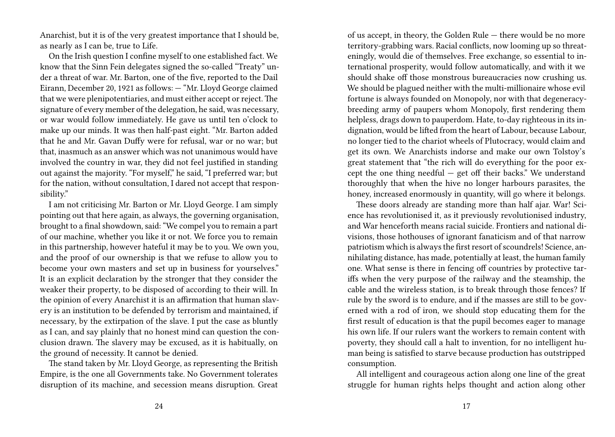Anarchist, but it is of the very greatest importance that I should be, as nearly as I can be, true to Life.

On the Irish question I confine myself to one established fact. We know that the Sinn Fein delegates signed the so-called "Treaty" under a threat of war. Mr. Barton, one of the five, reported to the Dail Eirann, December 20, 1921 as follows: — "Mr. Lloyd George claimed that we were plenipotentiaries, and must either accept or reject. The signature of every member of the delegation, he said, was necessary, or war would follow immediately. He gave us until ten o'clock to make up our minds. It was then half-past eight. "Mr. Barton added that he and Mr. Gavan Duffy were for refusal, war or no war; but that, inasmuch as an answer which was not unanimous would have involved the country in war, they did not feel justified in standing out against the majority. "For myself," he said, "I preferred war; but for the nation, without consultation, I dared not accept that responsibility."

I am not criticising Mr. Barton or Mr. Lloyd George. I am simply pointing out that here again, as always, the governing organisation, brought to a final showdown, said: "We compel you to remain a part of our machine, whether you like it or not. We force you to remain in this partnership, however hateful it may be to you. We own you, and the proof of our ownership is that we refuse to allow you to become your own masters and set up in business for yourselves." It is an explicit declaration by the stronger that they consider the weaker their property, to be disposed of according to their will. In the opinion of every Anarchist it is an affirmation that human slavery is an institution to be defended by terrorism and maintained, if necessary, by the extirpation of the slave. I put the case as bluntly as I can, and say plainly that no honest mind can question the conclusion drawn. The slavery may be excused, as it is habitually, on the ground of necessity. It cannot be denied.

The stand taken by Mr. Lloyd George, as representing the British Empire, is the one all Governments take. No Government tolerates disruption of its machine, and secession means disruption. Great

of us accept, in theory, the Golden Rule — there would be no more territory-grabbing wars. Racial conflicts, now looming up so threateningly, would die of themselves. Free exchange, so essential to international prosperity, would follow automatically, and with it we should shake off those monstrous bureaucracies now crushing us. We should be plagued neither with the multi-millionaire whose evil fortune is always founded on Monopoly, nor with that degeneracybreeding army of paupers whom Monopoly, first rendering them helpless, drags down to pauperdom. Hate, to-day righteous in its indignation, would be lifted from the heart of Labour, because Labour, no longer tied to the chariot wheels of Plutocracy, would claim and get its own. We Anarchists indorse and make our own Tolstoy's great statement that "the rich will do everything for the poor except the one thing needful  $-$  get off their backs." We understand thoroughly that when the hive no longer harbours parasites, the honey, increased enormously in quantity, will go where it belongs.

These doors already are standing more than half ajar. War! Science has revolutionised it, as it previously revolutionised industry, and War henceforth means racial suicide. Frontiers and national divisions, those hothouses of ignorant fanaticism and of that narrow patriotism which is always the first resort of scoundrels! Science, annihilating distance, has made, potentially at least, the human family one. What sense is there in fencing off countries by protective tariffs when the very purpose of the railway and the steamship, the cable and the wireless station, is to break through those fences? If rule by the sword is to endure, and if the masses are still to be governed with a rod of iron, we should stop educating them for the first result of education is that the pupil becomes eager to manage his own life. If our rulers want the workers to remain content with poverty, they should call a halt to invention, for no intelligent human being is satisfied to starve because production has outstripped consumption.

All intelligent and courageous action along one line of the great struggle for human rights helps thought and action along other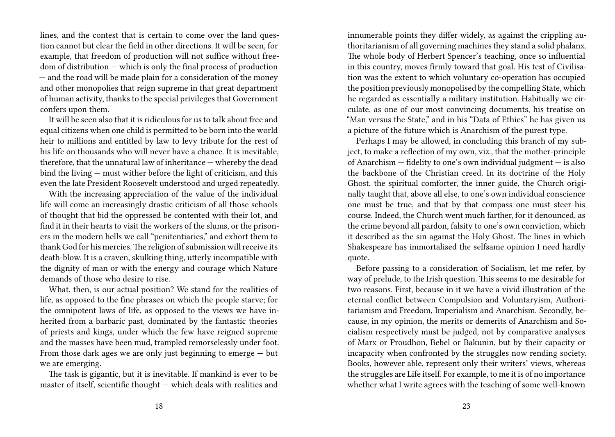lines, and the contest that is certain to come over the land question cannot but clear the field in other directions. It will be seen, for example, that freedom of production will not suffice without freedom of distribution — which is only the final process of production — and the road will be made plain for a consideration of the money and other monopolies that reign supreme in that great department of human activity, thanks to the special privileges that Government confers upon them.

It will be seen also that it is ridiculous for us to talk about free and equal citizens when one child is permitted to be born into the world heir to millions and entitled by law to levy tribute for the rest of his life on thousands who will never have a chance. It is inevitable, therefore, that the unnatural law of inheritance — whereby the dead bind the living — must wither before the light of criticism, and this even the late President Roosevelt understood and urged repeatedly.

With the increasing appreciation of the value of the individual life will come an increasingly drastic criticism of all those schools of thought that bid the oppressed be contented with their lot, and find it in their hearts to visit the workers of the slums, or the prisoners in the modern hells we call "penitentiaries," and exhort them to thank God for his mercies.The religion of submission will receive its death-blow. It is a craven, skulking thing, utterly incompatible with the dignity of man or with the energy and courage which Nature demands of those who desire to rise.

What, then, is our actual position? We stand for the realities of life, as opposed to the fine phrases on which the people starve; for the omnipotent laws of life, as opposed to the views we have inherited from a barbaric past, dominated by the fantastic theories of priests and kings, under which the few have reigned supreme and the masses have been mud, trampled remorselessly under foot. From those dark ages we are only just beginning to emerge  $-$  but we are emerging.

The task is gigantic, but it is inevitable. If mankind is ever to be master of itself, scientific thought — which deals with realities and

innumerable points they differ widely, as against the crippling authoritarianism of all governing machines they stand a solid phalanx. The whole body of Herbert Spencer's teaching, once so influential in this country, moves firmly toward that goal. His test of Civilisation was the extent to which voluntary co-operation has occupied the position previously monopolised by the compelling State, which he regarded as essentially a military institution. Habitually we circulate, as one of our most convincing documents, his treatise on "Man versus the State," and in his "Data of Ethics" he has given us a picture of the future which is Anarchism of the purest type.

Perhaps I may be allowed, in concluding this branch of my subject, to make a reflection of my own, viz., that the mother-principle of Anarchism — fidelity to one's own individual judgment — is also the backbone of the Christian creed. In its doctrine of the Holy Ghost, the spiritual comforter, the inner guide, the Church originally taught that, above all else, to one's own individual conscience one must be true, and that by that compass one must steer his course. Indeed, the Church went much farther, for it denounced, as the crime beyond all pardon, falsity to one's own conviction, which it described as the sin against the Holy Ghost. The lines in which Shakespeare has immortalised the selfsame opinion I need hardly quote.

Before passing to a consideration of Socialism, let me refer, by way of prelude, to the Irish question. This seems to me desirable for two reasons. First, because in it we have a vivid illustration of the eternal conflict between Compulsion and Voluntaryism, Authoritarianism and Freedom, Imperialism and Anarchism. Secondly, because, in my opinion, the merits or demerits of Anarchism and Socialism respectively must be judged, not by comparative analyses of Marx or Proudhon, Bebel or Bakunin, but by their capacity or incapacity when confronted by the struggles now rending society. Books, however able, represent only their writers' views, whereas the struggles are Life itself. For example, to me it is of no importance whether what I write agrees with the teaching of some well-known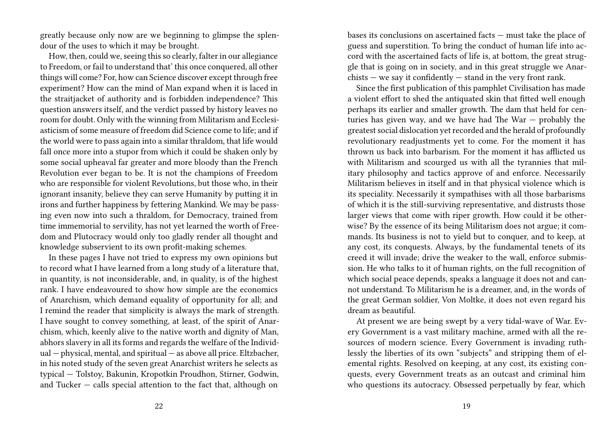greatly because only now are we beginning to glimpse the splendour of the uses to which it may be brought.

How, then, could we, seeing this so clearly, falter in our allegiance to Freedom, or fail to understand that' this once conquered, all other things will come? For, how can Science discover except through free experiment? How can the mind of Man expand when it is laced in the straitjacket of authority and is forbidden independence? This question answers itself, and the verdict passed by history leaves no room for doubt. Only with the winning from Militarism and Ecclesiasticism of some measure of freedom did Science come to life; and if the world were to pass again into a similar thraldom, that life would fall once more into a stupor from which it could be shaken only by some social upheaval far greater and more bloody than the French Revolution ever began to be. It is not the champions of Freedom who are responsible for violent Revolutions, but those who, in their ignorant insanity, believe they can serve Humanity by putting it in irons and further happiness by fettering Mankind. We may be passing even now into such a thraldom, for Democracy, trained from time immemorial to servility, has not yet learned the worth of Freedom and Plutocracy would only too gladly render all thought and knowledge subservient to its own profit-making schemes.

In these pages I have not tried to express my own opinions but to record what I have learned from a long study of a literature that, in quantity, is not inconsiderable, and, in quality, is of the highest rank. I have endeavoured to show how simple are the economics of Anarchism, which demand equality of opportunity for all; and I remind the reader that simplicity is always the mark of strength. I have sought to convey something, at least, of the spirit of Anarchism, which, keenly alive to the native worth and dignity of Man, abhors slavery in all its forms and regards the welfare of the Individual — physical, mental, and spiritual — as above all price. Eltzbacher, in his noted study of the seven great Anarchist writers he selects as typical — Tolstoy, Bakunin, Kropotkin Proudhon, Stirner, Godwin, and Tucker — calls special attention to the fact that, although on

bases its conclusions on ascertained facts — must take the place of guess and superstition. To bring the conduct of human life into accord with the ascertained facts of life is, at bottom, the great struggle that is going on in society, and in this great struggle we Anarchists — we say it confidently — stand in the very front rank.

Since the first publication of this pamphlet Civilisation has made a violent effort to shed the antiquated skin that fitted well enough perhaps its earlier and smaller growth. The dam that held for centuries has given way, and we have had The War — probably the greatest social dislocation yet recorded and the herald of profoundly revolutionary readjustments yet to come. For the moment it has thrown us back into barbarism. For the moment it has afflicted us with Militarism and scourged us with all the tyrannies that military philosophy and tactics approve of and enforce. Necessarily Militarism believes in itself and in that physical violence which is its speciality. Necessarily it sympathises with all those barbarisms of which it is the still-surviving representative, and distrusts those larger views that come with riper growth. How could it be otherwise? By the essence of its being Militarism does not argue; it commands. Its business is not to yield but to conquer, and to keep, at any cost, its conquests. Always, by the fundamental tenets of its creed it will invade; drive the weaker to the wall, enforce submission. He who talks to it of human rights, on the full recognition of which social peace depends, speaks a language it does not and cannot understand. To Militarism he is a dreamer, and, in the words of the great German soldier, Von Moltke, it does not even regard his dream as beautiful.

At present we are being swept by a very tidal-wave of War. Every Government is a vast military machine, armed with all the resources of modern science. Every Government is invading ruthlessly the liberties of its own "subjects" and stripping them of elemental rights. Resolved on keeping, at any cost, its existing conquests, every Government treats as an outcast and criminal him who questions its autocracy. Obsessed perpetually by fear, which